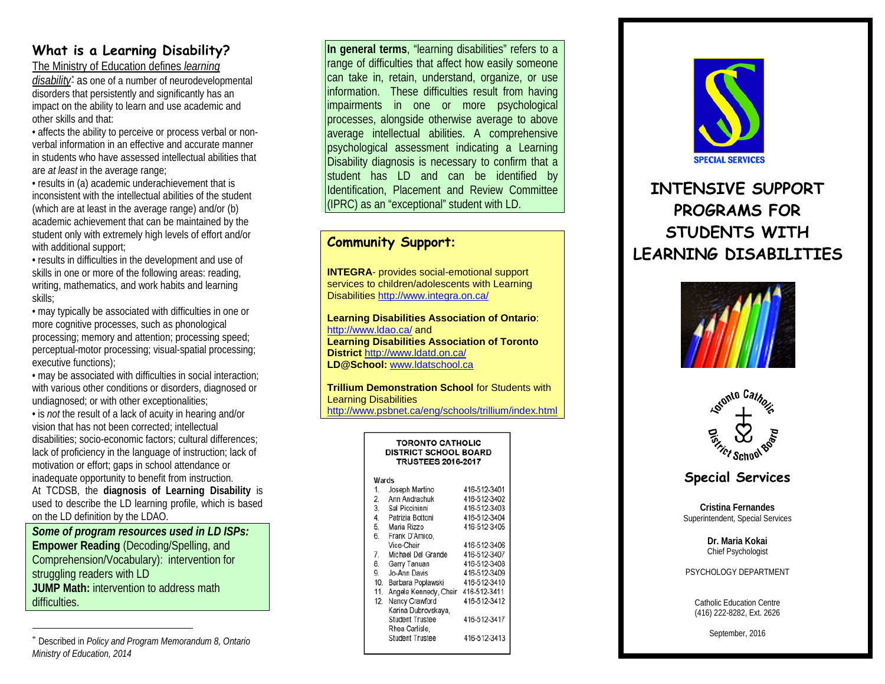## **What is a Learning Disability?**

The Ministry of Education defines *learning* 

*disability[\\*](#page-0-0)* as one of a number of neurodevelopmental disorders that persistently and significantly has an impact on the ability to learn and use academic and other skills and that:

• affects the ability to perceive or process verbal or nonverbal information in an effective and accurate manner in students who have assessed intellectual abilities that are *at least* in the average range;

• results in (a) academic underachievement that is inconsistent with the intellectual abilities of the student (which are at least in the average range) and/or (b) academic achievement that can be maintained by the student only with extremely high levels of effort and/or with additional support;

• results in difficulties in the development and use of skills in one or more of the following areas: reading, writing, mathematics, and work habits and learning skills;

• may typically be associated with difficulties in one or more cognitive processes, such as phonological processing; memory and attention; processing speed; perceptual-motor processing; visual-spatial processing; executive functions);

• may be associated with difficulties in social interaction; with various other conditions or disorders, diagnosed or undiagnosed; or with other exceptionalities;

• is *not* the result of a lack of acuity in hearing and/or vision that has not been corrected; intellectual disabilities; socio-economic factors; cultural differences; lack of proficiency in the language of instruction; lack of motivation or effort; gaps in school attendance or inadequate opportunity to benefit from instruction. At TCDSB, the **diagnosis of Learning Disability** is

used to describe the LD learning profile, which is based on the LD definition by the LDAO.

*Some of program resources used in LD ISPs:* **Empower Reading** (Decoding/Spelling, and Comprehension/Vocabulary): intervention for struggling readers with LD **JUMP Math:** intervention to address math difficulties.

**In general terms**, "learning disabilities" refers to a range of difficulties that affect how easily someone can take in, retain, understand, organize, or use information. These difficulties result from having impairments in one or more psychological processes, alongside otherwise average to above average intellectual abilities. A comprehensive psychological assessment indicating a Learning Disability diagnosis is necessary to confirm that a student has LD and can be identified by Identification, Placement and Review Committee (IPRC) as an "exceptional" student with LD.

### **Community Support:**

**INTEGRA**- provides social-emotional support services to children/adolescents with Learning Disabilities <http://www.integra.on.ca/>

**Learning Disabilities Association of Ontario**: <http://www.ldao.ca/> and **Learning Disabilities Association of Toronto District** <http://www.ldatd.on.ca/> **LD@School:** [www.ldatschool.ca](http://www.ldatschool.ca/)

**Trillium Demonstration School** for Students with Learning Disabilities <http://www.psbnet.ca/eng/schools/trillium/index.html>

| <b>TORONTO CATHOLIC</b><br><b>DISTRICT SCHOOL BOARD</b><br><b>TRUSTEES 2016-2017</b> |                        |              |
|--------------------------------------------------------------------------------------|------------------------|--------------|
| Wards                                                                                |                        |              |
|                                                                                      | 1. Joseph Martino      | 416-512-3401 |
| 2.                                                                                   | Ann Andrachuk          | 416-512-3402 |
|                                                                                      | 3. Sal Piccininni      | 416-512-3403 |
|                                                                                      | 4. Patrizia Bottoni    | 416-512-3404 |
| 5.                                                                                   | Maria Rizzo            | 416-512-3405 |
| 6.                                                                                   | Frank D'Amico,         |              |
|                                                                                      | Vice-Chair             | 416-512-3406 |
| 7.                                                                                   | Michael Del Grande     | 416-512-3407 |
| 8.                                                                                   | Garry Tanuan           | 416-512-3408 |
| 9.                                                                                   | Jo-Ann Davis           | 416-512-3409 |
| 10.                                                                                  | Barbara Poplawski      | 416-512-3410 |
| 11.                                                                                  | Angela Kennedy, Chair  | 416-512-3411 |
| $12-12$                                                                              | Nancy Crawford         | 416-512-3412 |
|                                                                                      | Karina Dubrovskava.    |              |
|                                                                                      | <b>Student Trustee</b> | 416-512-3417 |
|                                                                                      | Rhea Carlisle,         |              |
|                                                                                      | <b>Student Trustee</b> | 416-512-3413 |
|                                                                                      |                        |              |

<span id="page-0-0"></span>

# **INTENSIVE SUPPORT PROGRAMS FOR STUDENTS WITH LEARNING DISABILITIES**





### **Special Services**

**Cristina Fernandes** Superintendent, Special Services

> **Dr. Maria Kokai** Chief Psychologist

PSYCHOLOGY DEPARTMENT

Catholic Education Centre (416) 222-8282, Ext. 2626

September, 2016

 <sup>\*</sup> Described in *Policy and Program Memorandum 8, Ontario Ministry of Education, 2014*